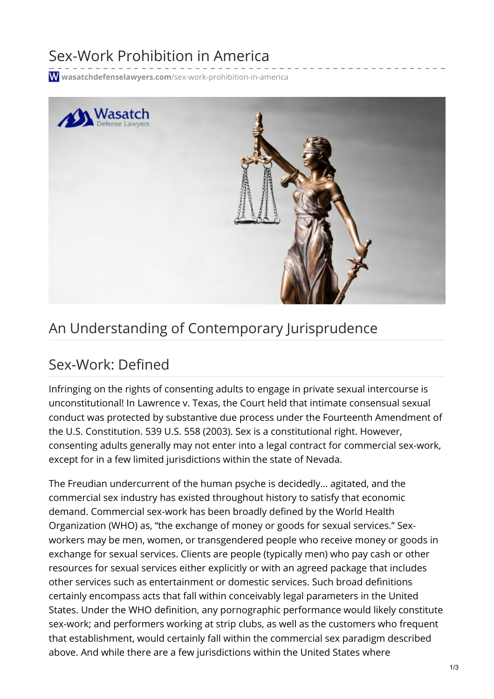## Sex-Work Prohibition in America

**wasatchdefenselawyers.com**[/sex-work-prohibition-in-america](https://wasatchdefenselawyers.com/sex-work-prohibition-in-america/)



## An Understanding of Contemporary Jurisprudence

## Sex-Work: Defined

Infringing on the rights of consenting adults to engage in private sexual intercourse is unconstitutional! In Lawrence v. Texas, the Court held that intimate consensual sexual conduct was protected by substantive due process under the Fourteenth Amendment of the U.S. Constitution. 539 U.S. 558 (2003). Sex is a constitutional right. However, consenting adults generally may not enter into a legal contract for commercial sex-work, except for in a few limited jurisdictions within the state of Nevada.

The Freudian undercurrent of the human psyche is decidedly… agitated, and the commercial sex industry has existed throughout history to satisfy that economic demand. Commercial sex-work has been broadly defined by the World Health Organization (WHO) as, "the exchange of money or goods for sexual services." Sexworkers may be men, women, or transgendered people who receive money or goods in exchange for sexual services. Clients are people (typically men) who pay cash or other resources for sexual services either explicitly or with an agreed package that includes other services such as entertainment or domestic services. Such broad definitions certainly encompass acts that fall within conceivably legal parameters in the United States. Under the WHO definition, any pornographic performance would likely constitute sex-work; and performers working at strip clubs, as well as the customers who frequent that establishment, would certainly fall within the commercial sex paradigm described above. And while there are a few jurisdictions within the United States where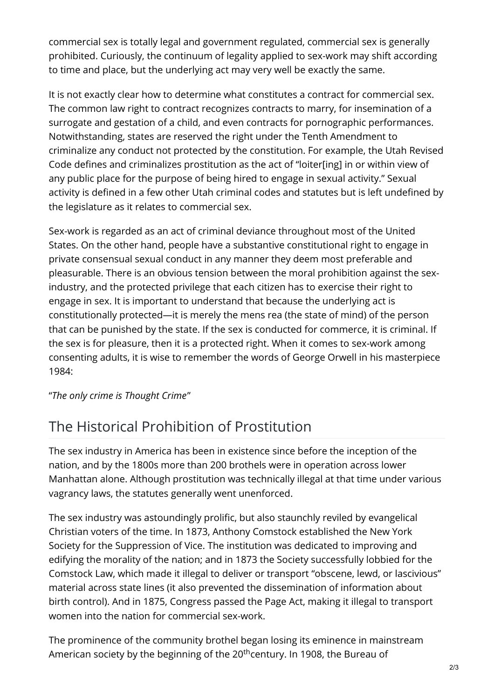commercial sex is totally legal and government regulated, commercial sex is generally prohibited. Curiously, the continuum of legality applied to sex-work may shift according to time and place, but the underlying act may very well be exactly the same.

It is not exactly clear how to determine what constitutes a contract for commercial sex. The common law right to contract recognizes contracts to marry, for insemination of a surrogate and gestation of a child, and even contracts for pornographic performances. Notwithstanding, states are reserved the right under the Tenth Amendment to criminalize any conduct not protected by the constitution. For example, the Utah Revised Code defines and criminalizes prostitution as the act of "loiter[ing] in or within view of any public place for the purpose of being hired to engage in sexual activity." Sexual activity is defined in a few other Utah criminal codes and statutes but is left undefined by the legislature as it relates to commercial sex.

Sex-work is regarded as an act of criminal deviance throughout most of the United States. On the other hand, people have a substantive constitutional right to engage in private consensual sexual conduct in any manner they deem most preferable and pleasurable. There is an obvious tension between the moral prohibition against the sexindustry, and the protected privilege that each citizen has to exercise their right to engage in sex. It is important to understand that because the underlying act is constitutionally protected—it is merely the mens rea (the state of mind) of the person that can be punished by the state. If the sex is conducted for commerce, it is criminal. If the sex is for pleasure, then it is a protected right. When it comes to sex-work among consenting adults, it is wise to remember the words of George Orwell in his masterpiece 1984:

"*The only crime is Thought Crime*"

## The Historical Prohibition of Prostitution

The sex industry in America has been in existence since before the inception of the nation, and by the 1800s more than 200 brothels were in operation across lower Manhattan alone. Although prostitution was technically illegal at that time under various vagrancy laws, the statutes generally went unenforced.

The sex industry was astoundingly prolific, but also staunchly reviled by evangelical Christian voters of the time. In 1873, Anthony Comstock established the New York Society for the Suppression of Vice. The institution was dedicated to improving and edifying the morality of the nation; and in 1873 the Society successfully lobbied for the Comstock Law, which made it illegal to deliver or transport "obscene, lewd, or lascivious" material across state lines (it also prevented the dissemination of information about birth control). And in 1875, Congress passed the Page Act, making it illegal to transport women into the nation for commercial sex-work.

The prominence of the community brothel began losing its eminence in mainstream American society by the beginning of the 20<sup>th</sup>century. In 1908, the Bureau of